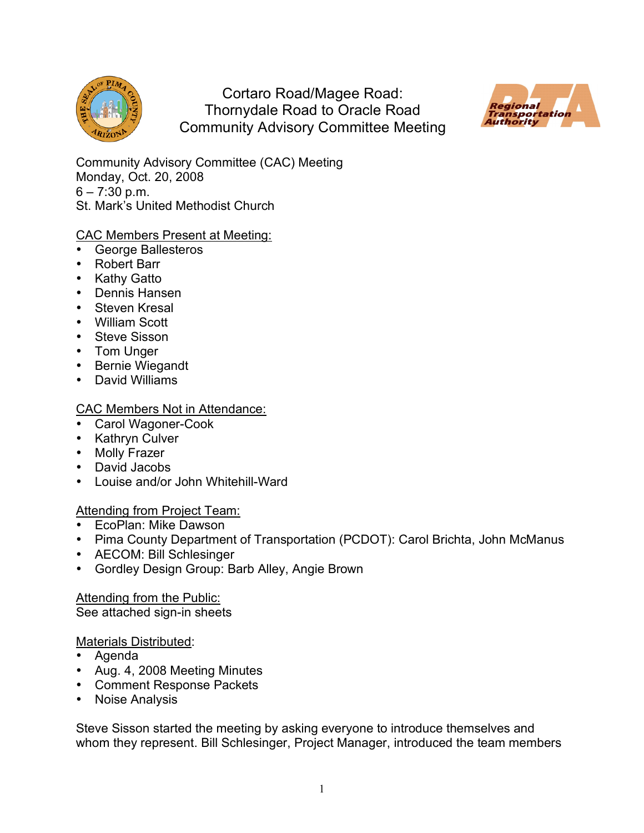

Cortaro Road/Magee Road: Thornydale Road to Oracle Road Community Advisory Committee Meeting



Community Advisory Committee (CAC) Meeting Monday, Oct. 20, 2008  $6 - 7:30$  p.m. St. Mark's United Methodist Church

# CAC Members Present at Meeting:

- George Ballesteros
- Robert Barr
- Kathy Gatto
- Dennis Hansen
- Steven Kresal
- William Scott
- Steve Sisson
- Tom Unger
- Bernie Wiegandt
- David Williams

# CAC Members Not in Attendance:

- Carol Wagoner-Cook
- Kathryn Culver
- Molly Frazer
- David Jacobs
- Louise and/or John Whitehill-Ward

# Attending from Project Team:

- EcoPlan: Mike Dawson
- Pima County Department of Transportation (PCDOT): Carol Brichta, John McManus
- AECOM: Bill Schlesinger
- Gordley Design Group: Barb Alley, Angie Brown

Attending from the Public: See attached sign-in sheets

Materials Distributed:

- Agenda
- Aug. 4, 2008 Meeting Minutes
- Comment Response Packets
- Noise Analysis

Steve Sisson started the meeting by asking everyone to introduce themselves and whom they represent. Bill Schlesinger, Project Manager, introduced the team members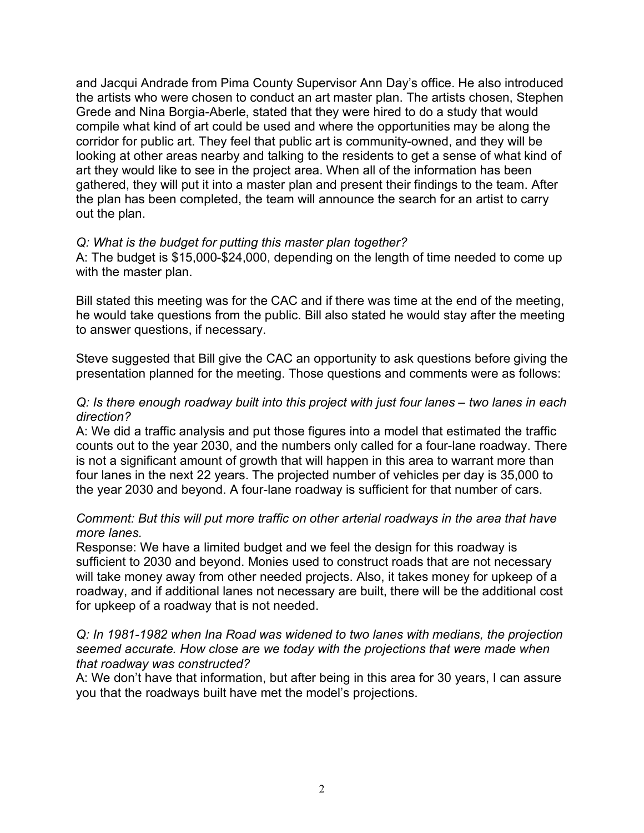and Jacqui Andrade from Pima County Supervisor Ann Day's office. He also introduced the artists who were chosen to conduct an art master plan. The artists chosen, Stephen Grede and Nina Borgia-Aberle, stated that they were hired to do a study that would compile what kind of art could be used and where the opportunities may be along the corridor for public art. They feel that public art is community-owned, and they will be looking at other areas nearby and talking to the residents to get a sense of what kind of art they would like to see in the project area. When all of the information has been gathered, they will put it into a master plan and present their findings to the team. After the plan has been completed, the team will announce the search for an artist to carry out the plan.

#### *Q: What is the budget for putting this master plan together?*

A: The budget is \$15,000-\$24,000, depending on the length of time needed to come up with the master plan.

Bill stated this meeting was for the CAC and if there was time at the end of the meeting, he would take questions from the public. Bill also stated he would stay after the meeting to answer questions, if necessary.

Steve suggested that Bill give the CAC an opportunity to ask questions before giving the presentation planned for the meeting. Those questions and comments were as follows:

### *Q: Is there enough roadway built into this project with just four lanes – two lanes in each direction?*

A: We did a traffic analysis and put those figures into a model that estimated the traffic counts out to the year 2030, and the numbers only called for a four-lane roadway. There is not a significant amount of growth that will happen in this area to warrant more than four lanes in the next 22 years. The projected number of vehicles per day is 35,000 to the year 2030 and beyond. A four-lane roadway is sufficient for that number of cars.

#### *Comment: But this will put more traffic on other arterial roadways in the area that have more lanes.*

Response: We have a limited budget and we feel the design for this roadway is sufficient to 2030 and beyond. Monies used to construct roads that are not necessary will take money away from other needed projects. Also, it takes money for upkeep of a roadway, and if additional lanes not necessary are built, there will be the additional cost for upkeep of a roadway that is not needed.

### *Q: In 1981-1982 when Ina Road was widened to two lanes with medians, the projection seemed accurate. How close are we today with the projections that were made when that roadway was constructed?*

A: We don't have that information, but after being in this area for 30 years, I can assure you that the roadways built have met the model's projections.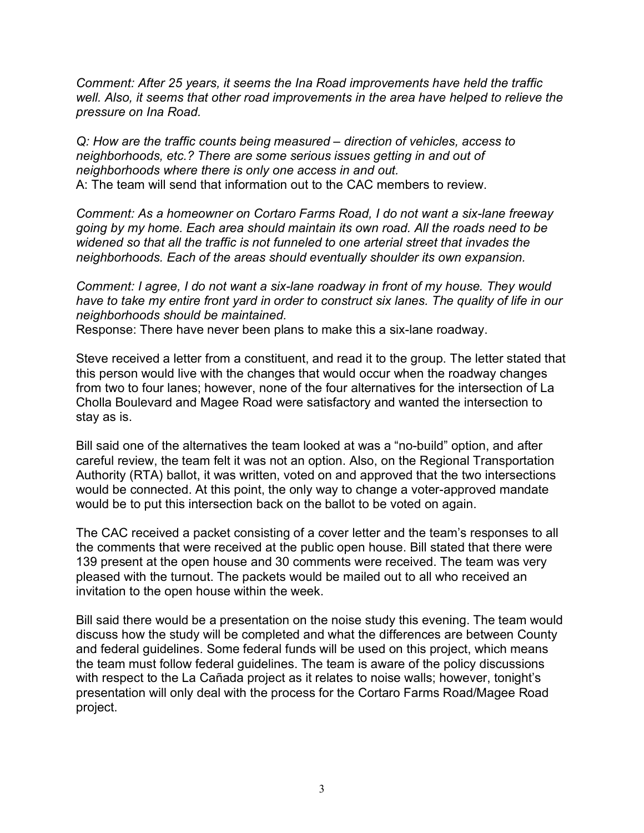*Comment: After 25 years, it seems the Ina Road improvements have held the traffic well. Also, it seems that other road improvements in the area have helped to relieve the pressure on Ina Road.*

*Q: How are the traffic counts being measured – direction of vehicles, access to neighborhoods, etc.? There are some serious issues getting in and out of neighborhoods where there is only one access in and out.* A: The team will send that information out to the CAC members to review.

*Comment: As a homeowner on Cortaro Farms Road, I do not want a six-lane freeway going by my home. Each area should maintain its own road. All the roads need to be widened so that all the traffic is not funneled to one arterial street that invades the neighborhoods. Each of the areas should eventually shoulder its own expansion.*

*Comment: I agree, I do not want a six-lane roadway in front of my house. They would have to take my entire front yard in order to construct six lanes. The quality of life in our neighborhoods should be maintained.*

Response: There have never been plans to make this a six-lane roadway.

Steve received a letter from a constituent, and read it to the group. The letter stated that this person would live with the changes that would occur when the roadway changes from two to four lanes; however, none of the four alternatives for the intersection of La Cholla Boulevard and Magee Road were satisfactory and wanted the intersection to stay as is.

Bill said one of the alternatives the team looked at was a "no-build" option, and after careful review, the team felt it was not an option. Also, on the Regional Transportation Authority (RTA) ballot, it was written, voted on and approved that the two intersections would be connected. At this point, the only way to change a voter-approved mandate would be to put this intersection back on the ballot to be voted on again.

The CAC received a packet consisting of a cover letter and the team's responses to all the comments that were received at the public open house. Bill stated that there were 139 present at the open house and 30 comments were received. The team was very pleased with the turnout. The packets would be mailed out to all who received an invitation to the open house within the week.

Bill said there would be a presentation on the noise study this evening. The team would discuss how the study will be completed and what the differences are between County and federal guidelines. Some federal funds will be used on this project, which means the team must follow federal guidelines. The team is aware of the policy discussions with respect to the La Cañada project as it relates to noise walls; however, tonight's presentation will only deal with the process for the Cortaro Farms Road/Magee Road project.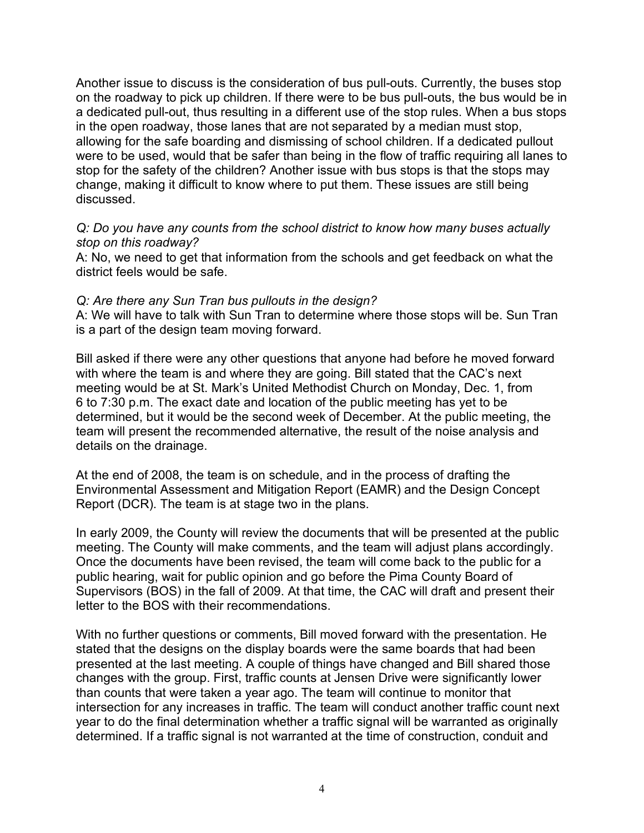Another issue to discuss is the consideration of bus pull-outs. Currently, the buses stop on the roadway to pick up children. If there were to be bus pull-outs, the bus would be in a dedicated pull-out, thus resulting in a different use of the stop rules. When a bus stops in the open roadway, those lanes that are not separated by a median must stop, allowing for the safe boarding and dismissing of school children. If a dedicated pullout were to be used, would that be safer than being in the flow of traffic requiring all lanes to stop for the safety of the children? Another issue with bus stops is that the stops may change, making it difficult to know where to put them. These issues are still being discussed.

#### *Q: Do you have any counts from the school district to know how many buses actually stop on this roadway?*

A: No, we need to get that information from the schools and get feedback on what the district feels would be safe.

### *Q: Are there any Sun Tran bus pullouts in the design?*

A: We will have to talk with Sun Tran to determine where those stops will be. Sun Tran is a part of the design team moving forward.

Bill asked if there were any other questions that anyone had before he moved forward with where the team is and where they are going. Bill stated that the CAC's next meeting would be at St. Mark's United Methodist Church on Monday, Dec. 1, from 6 to 7:30 p.m. The exact date and location of the public meeting has yet to be determined, but it would be the second week of December. At the public meeting, the team will present the recommended alternative, the result of the noise analysis and details on the drainage.

At the end of 2008, the team is on schedule, and in the process of drafting the Environmental Assessment and Mitigation Report (EAMR) and the Design Concept Report (DCR). The team is at stage two in the plans.

In early 2009, the County will review the documents that will be presented at the public meeting. The County will make comments, and the team will adjust plans accordingly. Once the documents have been revised, the team will come back to the public for a public hearing, wait for public opinion and go before the Pima County Board of Supervisors (BOS) in the fall of 2009. At that time, the CAC will draft and present their letter to the BOS with their recommendations.

With no further questions or comments, Bill moved forward with the presentation. He stated that the designs on the display boards were the same boards that had been presented at the last meeting. A couple of things have changed and Bill shared those changes with the group. First, traffic counts at Jensen Drive were significantly lower than counts that were taken a year ago. The team will continue to monitor that intersection for any increases in traffic. The team will conduct another traffic count next year to do the final determination whether a traffic signal will be warranted as originally determined. If a traffic signal is not warranted at the time of construction, conduit and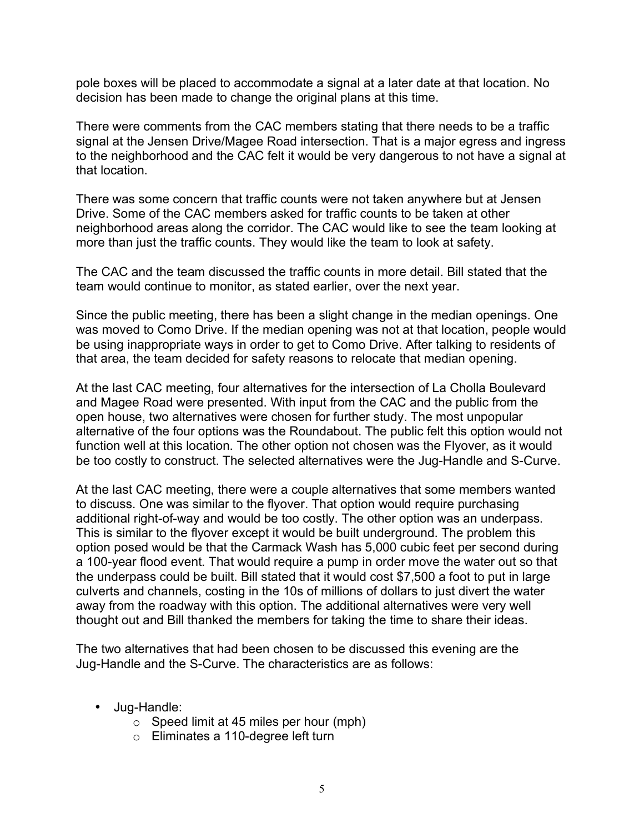pole boxes will be placed to accommodate a signal at a later date at that location. No decision has been made to change the original plans at this time.

There were comments from the CAC members stating that there needs to be a traffic signal at the Jensen Drive/Magee Road intersection. That is a major egress and ingress to the neighborhood and the CAC felt it would be very dangerous to not have a signal at that location.

There was some concern that traffic counts were not taken anywhere but at Jensen Drive. Some of the CAC members asked for traffic counts to be taken at other neighborhood areas along the corridor. The CAC would like to see the team looking at more than just the traffic counts. They would like the team to look at safety.

The CAC and the team discussed the traffic counts in more detail. Bill stated that the team would continue to monitor, as stated earlier, over the next year.

Since the public meeting, there has been a slight change in the median openings. One was moved to Como Drive. If the median opening was not at that location, people would be using inappropriate ways in order to get to Como Drive. After talking to residents of that area, the team decided for safety reasons to relocate that median opening.

At the last CAC meeting, four alternatives for the intersection of La Cholla Boulevard and Magee Road were presented. With input from the CAC and the public from the open house, two alternatives were chosen for further study. The most unpopular alternative of the four options was the Roundabout. The public felt this option would not function well at this location. The other option not chosen was the Flyover, as it would be too costly to construct. The selected alternatives were the Jug-Handle and S-Curve.

At the last CAC meeting, there were a couple alternatives that some members wanted to discuss. One was similar to the flyover. That option would require purchasing additional right-of-way and would be too costly. The other option was an underpass. This is similar to the flyover except it would be built underground. The problem this option posed would be that the Carmack Wash has 5,000 cubic feet per second during a 100-year flood event. That would require a pump in order move the water out so that the underpass could be built. Bill stated that it would cost \$7,500 a foot to put in large culverts and channels, costing in the 10s of millions of dollars to just divert the water away from the roadway with this option. The additional alternatives were very well thought out and Bill thanked the members for taking the time to share their ideas.

The two alternatives that had been chosen to be discussed this evening are the Jug-Handle and the S-Curve. The characteristics are as follows:

- Jug-Handle:
	- $\circ$  Speed limit at 45 miles per hour (mph)
	- o Eliminates a 110-degree left turn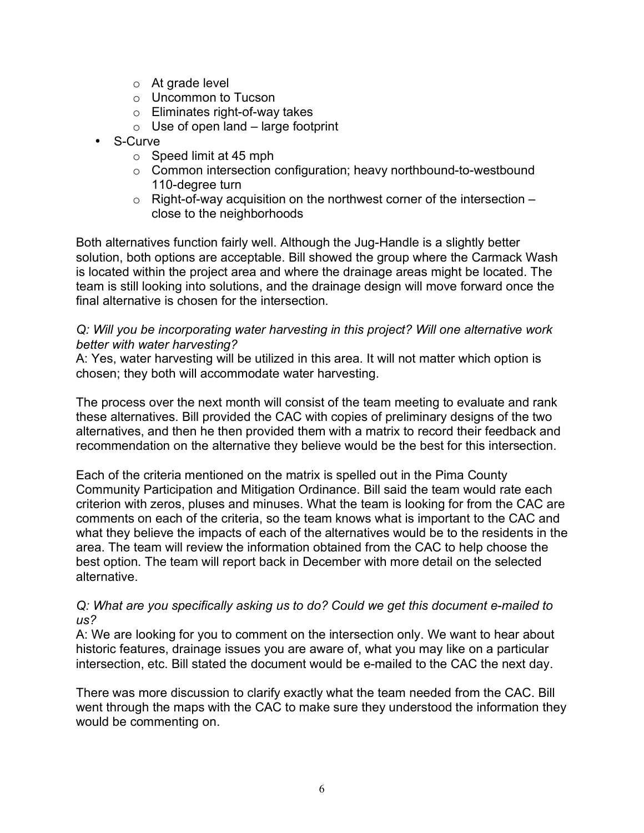- $\circ$  At grade level
- o Uncommon to Tucson
- o Eliminates right-of-way takes
- $\circ$  Use of open land large footprint
- S-Curve
	- $\circ$  Speed limit at 45 mph
	- o Common intersection configuration; heavy northbound-to-westbound 110-degree turn
	- $\circ$  Right-of-way acquisition on the northwest corner of the intersection  $$ close to the neighborhoods

Both alternatives function fairly well. Although the Jug-Handle is a slightly better solution, both options are acceptable. Bill showed the group where the Carmack Wash is located within the project area and where the drainage areas might be located. The team is still looking into solutions, and the drainage design will move forward once the final alternative is chosen for the intersection.

### *Q: Will you be incorporating water harvesting in this project? Will one alternative work better with water harvesting?*

A: Yes, water harvesting will be utilized in this area. It will not matter which option is chosen; they both will accommodate water harvesting.

The process over the next month will consist of the team meeting to evaluate and rank these alternatives. Bill provided the CAC with copies of preliminary designs of the two alternatives, and then he then provided them with a matrix to record their feedback and recommendation on the alternative they believe would be the best for this intersection.

Each of the criteria mentioned on the matrix is spelled out in the Pima County Community Participation and Mitigation Ordinance. Bill said the team would rate each criterion with zeros, pluses and minuses. What the team is looking for from the CAC are comments on each of the criteria, so the team knows what is important to the CAC and what they believe the impacts of each of the alternatives would be to the residents in the area. The team will review the information obtained from the CAC to help choose the best option. The team will report back in December with more detail on the selected alternative.

### *Q: What are you specifically asking us to do? Could we get this document e-mailed to us?*

A: We are looking for you to comment on the intersection only. We want to hear about historic features, drainage issues you are aware of, what you may like on a particular intersection, etc. Bill stated the document would be e-mailed to the CAC the next day.

There was more discussion to clarify exactly what the team needed from the CAC. Bill went through the maps with the CAC to make sure they understood the information they would be commenting on.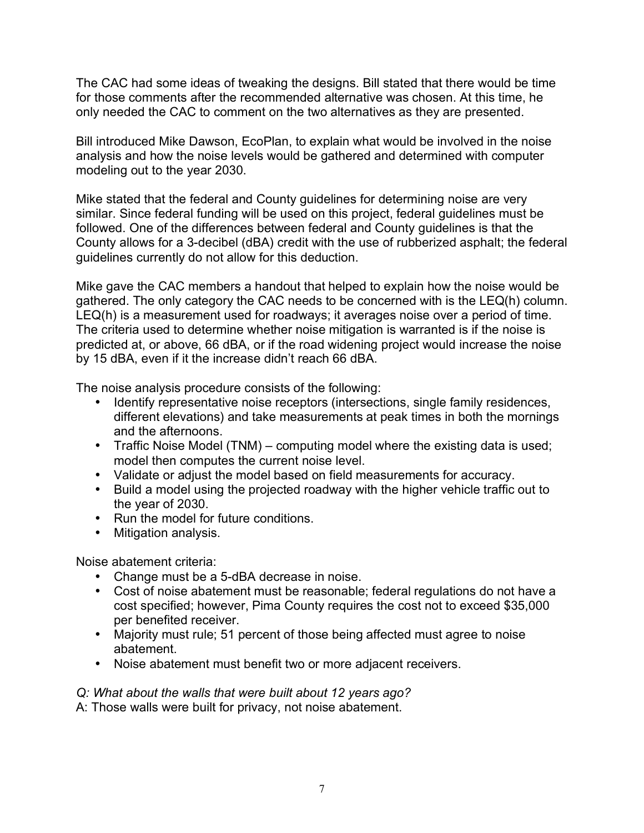The CAC had some ideas of tweaking the designs. Bill stated that there would be time for those comments after the recommended alternative was chosen. At this time, he only needed the CAC to comment on the two alternatives as they are presented.

Bill introduced Mike Dawson, EcoPlan, to explain what would be involved in the noise analysis and how the noise levels would be gathered and determined with computer modeling out to the year 2030.

Mike stated that the federal and County guidelines for determining noise are very similar. Since federal funding will be used on this project, federal guidelines must be followed. One of the differences between federal and County guidelines is that the County allows for a 3-decibel (dBA) credit with the use of rubberized asphalt; the federal guidelines currently do not allow for this deduction.

Mike gave the CAC members a handout that helped to explain how the noise would be gathered. The only category the CAC needs to be concerned with is the LEQ(h) column. LEQ(h) is a measurement used for roadways; it averages noise over a period of time. The criteria used to determine whether noise mitigation is warranted is if the noise is predicted at, or above, 66 dBA, or if the road widening project would increase the noise by 15 dBA, even if it the increase didn't reach 66 dBA.

The noise analysis procedure consists of the following:

- Identify representative noise receptors (intersections, single family residences, different elevations) and take measurements at peak times in both the mornings and the afternoons.
- Traffic Noise Model (TNM) computing model where the existing data is used; model then computes the current noise level.
- Validate or adjust the model based on field measurements for accuracy.
- Build a model using the projected roadway with the higher vehicle traffic out to the year of 2030.
- Run the model for future conditions.
- Mitigation analysis.

Noise abatement criteria:

- Change must be a 5-dBA decrease in noise.
- Cost of noise abatement must be reasonable; federal regulations do not have a cost specified; however, Pima County requires the cost not to exceed \$35,000 per benefited receiver.
- Majority must rule; 51 percent of those being affected must agree to noise abatement.
- Noise abatement must benefit two or more adjacent receivers.

*Q: What about the walls that were built about 12 years ago?*

A: Those walls were built for privacy, not noise abatement.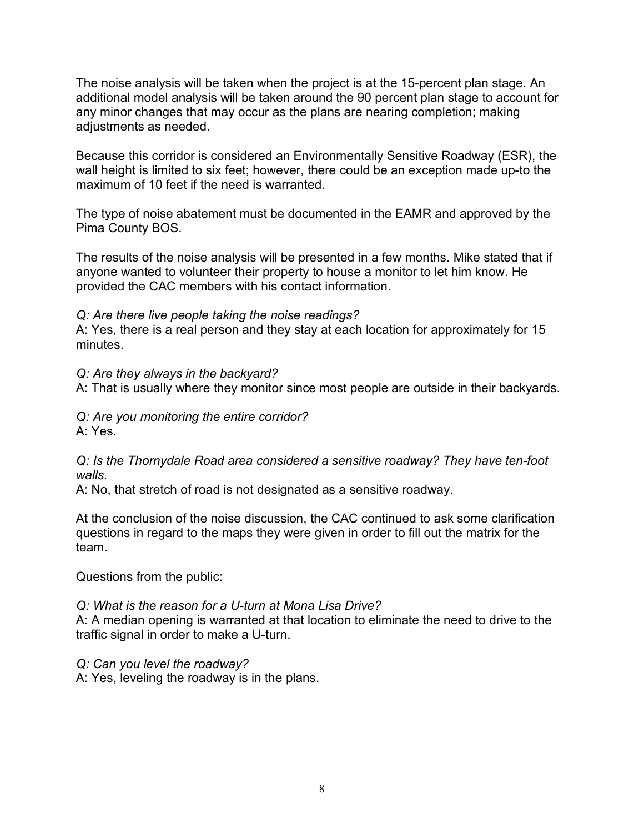The noise analysis will be taken when the project is at the 15-percent plan stage. An additional model analysis will be taken around the 90 percent plan stage to account for any minor changes that may occur as the plans are nearing completion; making adjustments as needed.

Because this corridor is considered an Environmentally Sensitive Roadway (ESR), the wall height is limited to six feet; however, there could be an exception made up-to the maximum of 10 feet if the need is warranted.

The type of noise abatement must be documented in the EAMR and approved by the Pima County BOS.

The results of the noise analysis will be presented in a few months. Mike stated that if anyone wanted to volunteer their property to house a monitor to let him know. He provided the CAC members with his contact information.

# *Q: Are there live people taking the noise readings?*

A: Yes, there is a real person and they stay at each location for approximately for 15 minutes.

### *Q: Are they always in the backyard?*

A: That is usually where they monitor since most people are outside in their backyards.

*Q: Are you monitoring the entire corridor?* A: Yes.

*Q: Is the Thornydale Road area considered a sensitive roadway? They have ten-foot walls.*

A: No, that stretch of road is not designated as a sensitive roadway.

At the conclusion of the noise discussion, the CAC continued to ask some clarification questions in regard to the maps they were given in order to fill out the matrix for the team.

Questions from the public:

### *Q: What is the reason for a U-turn at Mona Lisa Drive?*

A: A median opening is warranted at that location to eliminate the need to drive to the traffic signal in order to make a U-turn.

### *Q: Can you level the roadway?*

A: Yes, leveling the roadway is in the plans.